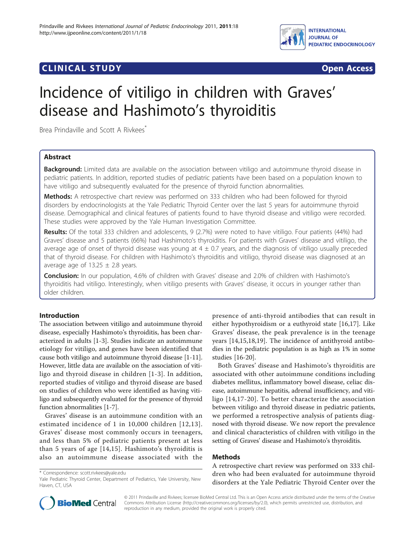

# **CLINICAL STUDY CLINICAL STUDY CLINICAL STUDY**

# Incidence of vitiligo in children with Graves' disease and Hashimoto's thyroiditis

Brea Prindaville and Scott A Rivkees<sup>\*</sup>

# Abstract

Background: Limited data are available on the association between vitiligo and autoimmune thyroid disease in pediatric patients. In addition, reported studies of pediatric patients have been based on a population known to have vitiligo and subsequently evaluated for the presence of thyroid function abnormalities.

Methods: A retrospective chart review was performed on 333 children who had been followed for thyroid disorders by endocrinologists at the Yale Pediatric Thyroid Center over the last 5 years for autoimmune thyroid disease. Demographical and clinical features of patients found to have thyroid disease and vitiligo were recorded. These studies were approved by the Yale Human Investigation Committee.

Results: Of the total 333 children and adolescents, 9 (2.7%) were noted to have vitiligo. Four patients (44%) had Graves' disease and 5 patients (66%) had Hashimoto's thyroiditis. For patients with Graves' disease and vitiligo, the average age of onset of thyroid disease was young at  $4 \pm 0.7$  years, and the diagnosis of vitiligo usually preceded that of thyroid disease. For children with Hashimoto's thyroiditis and vitiligo, thyroid disease was diagnosed at an average age of  $13.25 \pm 2.8$  years.

Conclusion: In our population, 4.6% of children with Graves' disease and 2.0% of children with Hashimoto's thyroiditis had vitiligo. Interestingly, when vitiligo presents with Graves' disease, it occurs in younger rather than older children.

# Introduction

The association between vitiligo and autoimmune thyroid disease, especially Hashimoto's thyroiditis, has been characterized in adults [\[1](#page-2-0)-[3\]](#page-2-0). Studies indicate an autoimmune etiology for vitiligo, and genes have been identified that cause both vitiligo and autoimmune thyroid disease [[1](#page-2-0)-[11](#page-2-0)]. However, little data are available on the association of vitiligo and thyroid disease in children [[1](#page-2-0)-[3](#page-2-0)]. In addition, reported studies of vitiligo and thyroid disease are based on studies of children who were identified as having vitiligo and subsequently evaluated for the presence of thyroid function abnormalities [\[1-7](#page-2-0)].

Graves' disease is an autoimmune condition with an estimated incidence of 1 in 10,000 children [[12,13\]](#page-2-0). Graves' disease most commonly occurs in teenagers, and less than 5% of pediatric patients present at less than 5 years of age [[14,15\]](#page-2-0). Hashimoto's thyroiditis is also an autoimmune disease associated with the

\* Correspondence: [scott.rivkees@yale.edu](mailto:scott.rivkees@yale.edu)

presence of anti-thyroid antibodies that can result in either hypothyroidism or a euthyroid state [[16,17](#page-2-0)]. Like Graves' disease, the peak prevalence is in the teenage years [\[14,15,18,19](#page-2-0)]. The incidence of antithyroid antibodies in the pediatric population is as high as 1% in some studies [\[16-20](#page-2-0)].

Both Graves' disease and Hashimoto's thyroiditis are associated with other autoimmune conditions including diabetes mellitus, inflammatory bowel disease, celiac disease, autoimmune hepatitis, adrenal insufficiency, and vitiligo [\[14,17-20\]](#page-2-0). To better characterize the association between vitiligo and thyroid disease in pediatric patients, we performed a retrospective analysis of patients diagnosed with thyroid disease. We now report the prevalence and clinical characteristics of children with vitiligo in the setting of Graves' disease and Hashimoto's thyroiditis.

# Methods

A retrospective chart review was performed on 333 children who had been evaluated for autoimmune thyroid disorders at the Yale Pediatric Thyroid Center over the



© 2011 Prindaville and Rivkees; licensee BioMed Central Ltd. This is an Open Access article distributed under the terms of the Creative Commons Attribution License [\(http://creativecommons.org/licenses/by/2.0](http://creativecommons.org/licenses/by/2.0)), which permits unrestricted use, distribution, and reproduction in any medium, provided the original work is properly cited.

Yale Pediatric Thyroid Center, Department of Pediatrics, Yale University, New Haven, CT, USA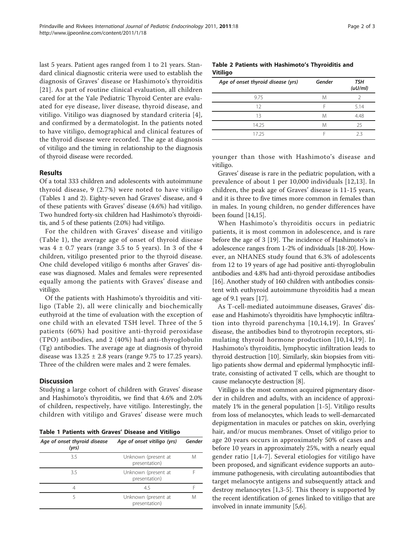last 5 years. Patient ages ranged from 1 to 21 years. Standard clinical diagnostic criteria were used to establish the diagnosis of Graves' disease or Hashimoto's thyroiditis [[21](#page-2-0)]. As part of routine clinical evaluation, all children cared for at the Yale Pediatric Thyroid Center are evaluated for eye disease, liver disease, thyroid disease, and vitiligo. Vitiligo was diagnosed by standard criteria [[4\]](#page-2-0), and confirmed by a dermatologist. In the patients noted to have vitiligo, demographical and clinical features of the thyroid disease were recorded. The age at diagnosis of vitiligo and the timing in relationship to the diagnosis of thyroid disease were recorded.

#### Results

Of a total 333 children and adolescents with autoimmune thyroid disease, 9 (2.7%) were noted to have vitiligo (Tables 1 and 2). Eighty-seven had Graves' disease, and 4 of these patients with Graves' disease (4.6%) had vitiligo. Two hundred forty-six children had Hashimoto's thyroiditis, and 5 of these patients (2.0%) had vitiligo.

For the children with Graves' disease and vitiligo (Table 1), the average age of onset of thyroid disease was  $4 \pm 0.7$  years (range 3.5 to 5 years). In 3 of the 4 children, vitiligo presented prior to the thyroid disease. One child developed vitiligo 6 months after Graves' disease was diagnosed. Males and females were represented equally among the patients with Graves' disease and vitiligo.

Of the patients with Hashimoto's thyroiditis and vitiligo (Table 2), all were clinically and biochemically euthyroid at the time of evaluation with the exception of one child with an elevated TSH level. Three of the 5 patients (60%) had positive anti-thyroid peroxidase (TPO) antibodies, and 2 (40%) had anti-thyroglobulin (Tg) antibodies. The average age at diagnosis of thyroid disease was  $13.25 \pm 2.8$  years (range 9.75 to 17.25 years). Three of the children were males and 2 were females.

### **Discussion**

Studying a large cohort of children with Graves' disease and Hashimoto's thyroiditis, we find that 4.6% and 2.0% of children, respectively, have vitiligo. Interestingly, the children with vitiligo and Graves' disease were much

|  |  | Table 1 Patients with Graves' Disease and Vitiligo |  |  |  |  |  |
|--|--|----------------------------------------------------|--|--|--|--|--|
|--|--|----------------------------------------------------|--|--|--|--|--|

| Age of onset thyroid disease<br>(yrs) | Age of onset vitiligo (yrs)          | Gender |
|---------------------------------------|--------------------------------------|--------|
| 3.5                                   | Unknown (present at<br>presentation) | M      |
| 3.5                                   | Unknown (present at<br>presentation) |        |
| 4                                     | 4.5                                  |        |
| ╮                                     | Unknown (present at<br>presentation) | M      |

## Table 2 Patients with Hashimoto's Thyroiditis and Vitiligo

| Age of onset thyroid disease (yrs) | Gender | <b>TSH</b><br>(uU/ml) |
|------------------------------------|--------|-----------------------|
| 9.75                               | M      | Ͻ                     |
| 12                                 | E      | 5.14                  |
| 13                                 | M      | 4.48                  |
| 14.25                              | M      | 25                    |
| 17 25                              |        | フ3                    |

younger than those with Hashimoto's disease and vitiligo.

Graves' disease is rare in the pediatric population, with a prevalence of about 1 per 10,000 individuals [[12,13](#page-2-0)]. In children, the peak age of Graves' disease is 11-15 years, and it is three to five times more common in females than in males. In young children, no gender differences have been found [\[14,15\]](#page-2-0).

When Hashimoto's thyroiditis occurs in pediatric patients, it is most common in adolescence, and is rare before the age of 3 [\[19\]](#page-2-0). The incidence of Hashimoto's in adolescence ranges from 1-2% of individuals [[18](#page-2-0)-[20](#page-2-0)]. However, an NHANES study found that 6.3% of adolescents from 12 to 19 years of age had positive anti-thyroglobulin antibodies and 4.8% had anti-thyroid peroxidase antibodies [[16](#page-2-0)]. Another study of 160 children with antibodies consistent with euthyroid autoimmune thyroiditis had a mean age of 9.1 years [[17](#page-2-0)].

As T-cell-mediated autoimmune diseases, Graves' disease and Hashimoto's thyroiditis have lymphocytic infiltration into thyroid parenchyma [[10](#page-2-0),[14,19\]](#page-2-0). In Graves' disease, the antibodies bind to thyrotropin receptors, stimulating thyroid hormone production [[10,14,19\]](#page-2-0). In Hashimoto's thyroiditis, lymphocytic infiltration leads to thyroid destruction [\[10\]](#page-2-0). Similarly, skin biopsies from vitiligo patients show dermal and epidermal lymphocytic infiltrate, consisting of activated T cells, which are thought to cause melanocyte destruction [[8\]](#page-2-0).

Vitiligo is the most common acquired pigmentary disorder in children and adults, with an incidence of approximately 1% in the general population [[1-5](#page-2-0)]. Vitiligo results from loss of melanocytes, which leads to well-demarcated depigmentation in macules or patches on skin, overlying hair, and/or mucus membranes. Onset of vitiligo prior to age 20 years occurs in approximately 50% of cases and before 10 years in approximately 25%, with a nearly equal gender ratio [[1,4](#page-2-0)-[7](#page-2-0)]. Several etiologies for vitiligo have been proposed, and significant evidence supports an autoimmune pathogenesis, with circulating autoantibodies that target melanocyte antigens and subsequently attack and destroy melanocytes [[1,3-5\]](#page-2-0). This theory is supported by the recent identification of genes linked to vitiligo that are involved in innate immunity [\[5,6\]](#page-2-0).